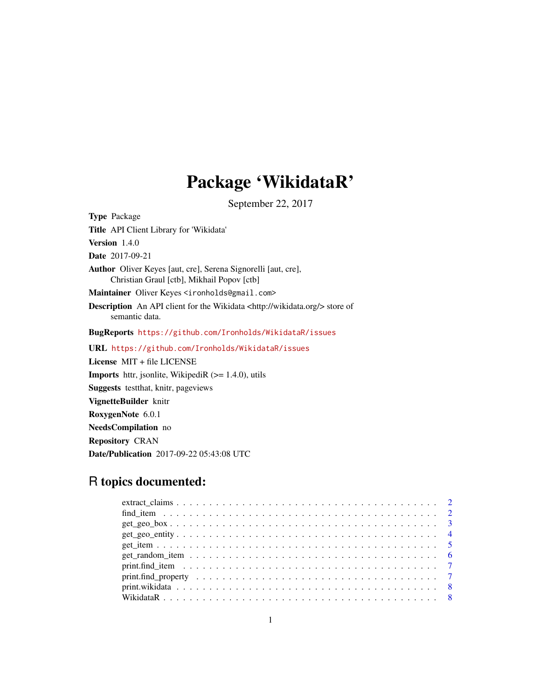# Package 'WikidataR'

September 22, 2017

<span id="page-0-0"></span>Type Package Title API Client Library for 'Wikidata' Version 1.4.0 Date 2017-09-21 Author Oliver Keyes [aut, cre], Serena Signorelli [aut, cre], Christian Graul [ctb], Mikhail Popov [ctb] Maintainer Oliver Keyes <ironholds@gmail.com> Description An API client for the Wikidata <http://wikidata.org/> store of semantic data. BugReports <https://github.com/Ironholds/WikidataR/issues> URL <https://github.com/Ironholds/WikidataR/issues> License MIT + file LICENSE **Imports** httr, jsonlite, WikipediR  $(>= 1.4.0)$ , utils Suggests testthat, knitr, pageviews VignetteBuilder knitr RoxygenNote 6.0.1 NeedsCompilation no

Repository CRAN

Date/Publication 2017-09-22 05:43:08 UTC

# R topics documented: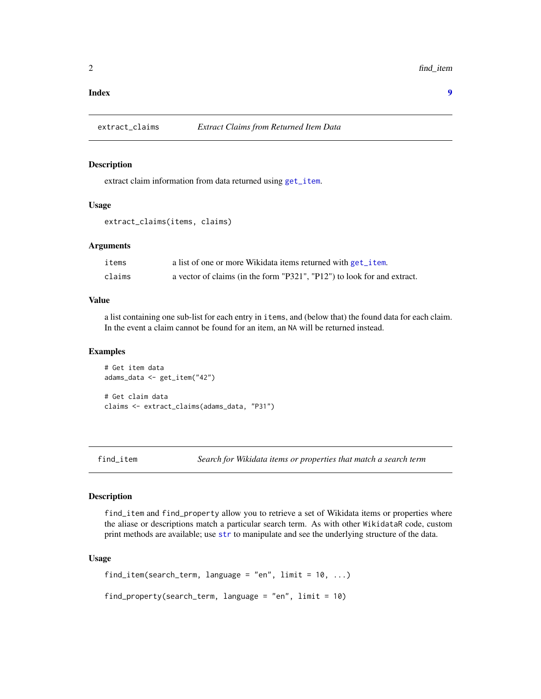#### <span id="page-1-0"></span>**Index** [9](#page-8-0)

extract\_claims *Extract Claims from Returned Item Data*

# Description

extract claim information from data returned using [get\\_item](#page-4-1).

#### Usage

extract\_claims(items, claims)

#### **Arguments**

| items  | a list of one or more Wikidata items returned with get <i>i</i> tem.    |
|--------|-------------------------------------------------------------------------|
| claims | a vector of claims (in the form "P321", "P12") to look for and extract. |

#### Value

a list containing one sub-list for each entry in items, and (below that) the found data for each claim. In the event a claim cannot be found for an item, an NA will be returned instead.

#### Examples

# Get item data adams\_data <- get\_item("42") # Get claim data claims <- extract\_claims(adams\_data, "P31")

<span id="page-1-1"></span>find\_item *Search for Wikidata items or properties that match a search term*

#### Description

find\_item and find\_property allow you to retrieve a set of Wikidata items or properties where the aliase or descriptions match a particular search term. As with other WikidataR code, custom print methods are available; use [str](#page-0-0) to manipulate and see the underlying structure of the data.

#### Usage

find\_item(search\_term, language = "en", limit = 10, ...)

find\_property(search\_term, language = "en", limit = 10)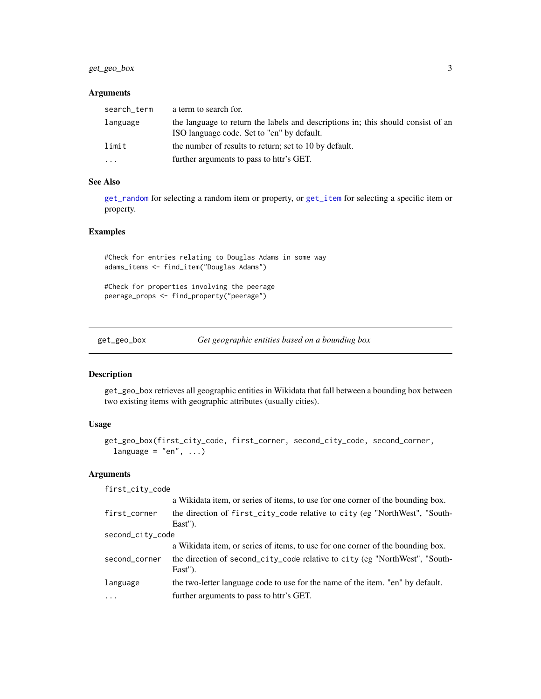# <span id="page-2-0"></span>get\_geo\_box 3

# Arguments

| search_term | a term to search for.                                                                                                          |
|-------------|--------------------------------------------------------------------------------------------------------------------------------|
| language    | the language to return the labels and descriptions in; this should consist of an<br>ISO language code. Set to "en" by default. |
| limit       | the number of results to return; set to 10 by default.                                                                         |
| .           | further arguments to pass to httr's GET.                                                                                       |

#### See Also

[get\\_random](#page-5-1) for selecting a random item or property, or [get\\_item](#page-4-1) for selecting a specific item or property.

# Examples

#Check for entries relating to Douglas Adams in some way adams\_items <- find\_item("Douglas Adams")

#Check for properties involving the peerage peerage\_props <- find\_property("peerage")

<span id="page-2-1"></span>get\_geo\_box *Get geographic entities based on a bounding box*

# Description

get\_geo\_box retrieves all geographic entities in Wikidata that fall between a bounding box between two existing items with geographic attributes (usually cities).

### Usage

```
get_geo_box(first_city_code, first_corner, second_city_code, second_corner,
 language = "en", ...)
```
#### Arguments

| first_city_code  |                                                                                        |  |  |  |  |  |
|------------------|----------------------------------------------------------------------------------------|--|--|--|--|--|
|                  | a Wikidata item, or series of items, to use for one corner of the bounding box.        |  |  |  |  |  |
| first_corner     | the direction of first_city_code relative to city (eg "NorthWest", "South-<br>East").  |  |  |  |  |  |
| second_city_code |                                                                                        |  |  |  |  |  |
|                  | a Wikidata item, or series of items, to use for one corner of the bounding box.        |  |  |  |  |  |
| second_corner    | the direction of second_city_code relative to city (eg "NorthWest", "South-<br>East"). |  |  |  |  |  |
| language         | the two-letter language code to use for the name of the item. "en" by default.         |  |  |  |  |  |
| $\ddots$ .       | further arguments to pass to httr's GET.                                               |  |  |  |  |  |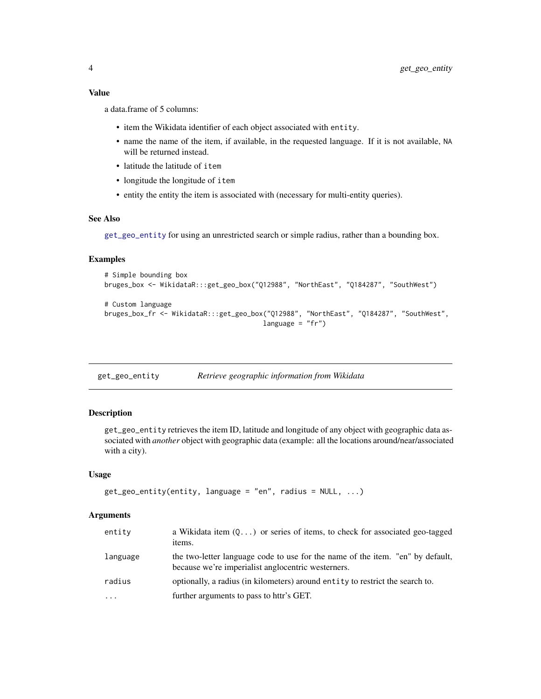# <span id="page-3-0"></span>Value

a data.frame of 5 columns:

- item the Wikidata identifier of each object associated with entity.
- name the name of the item, if available, in the requested language. If it is not available, NA will be returned instead.
- latitude the latitude of item
- longitude the longitude of item
- entity the entity the item is associated with (necessary for multi-entity queries).

#### See Also

[get\\_geo\\_entity](#page-3-1) for using an unrestricted search or simple radius, rather than a bounding box.

# Examples

```
# Simple bounding box
bruges_box <- WikidataR:::get_geo_box("Q12988", "NorthEast", "Q184287", "SouthWest")
# Custom language
bruges_box_fr <- WikidataR:::get_geo_box("Q12988", "NorthEast", "Q184287", "SouthWest",
                                        language = "fr")
```
<span id="page-3-1"></span>get\_geo\_entity *Retrieve geographic information from Wikidata*

# Description

get\_geo\_entity retrieves the item ID, latitude and longitude of any object with geographic data associated with *another* object with geographic data (example: all the locations around/near/associated with a city).

#### Usage

```
get\_geo\_entity(entity, language = "en", radius = NULL, ...)
```
#### **Arguments**

| entity              | a Wikidata item $(Q \dots)$ or series of items, to check for associated geo-tagged<br>items.                                         |
|---------------------|--------------------------------------------------------------------------------------------------------------------------------------|
| language            | the two-letter language code to use for the name of the item. "en" by default,<br>because we're imperialist anglocentric westerners. |
| radius              | optionally, a radius (in kilometers) around entity to restrict the search to.                                                        |
| $\cdot \cdot \cdot$ | further arguments to pass to httr's GET.                                                                                             |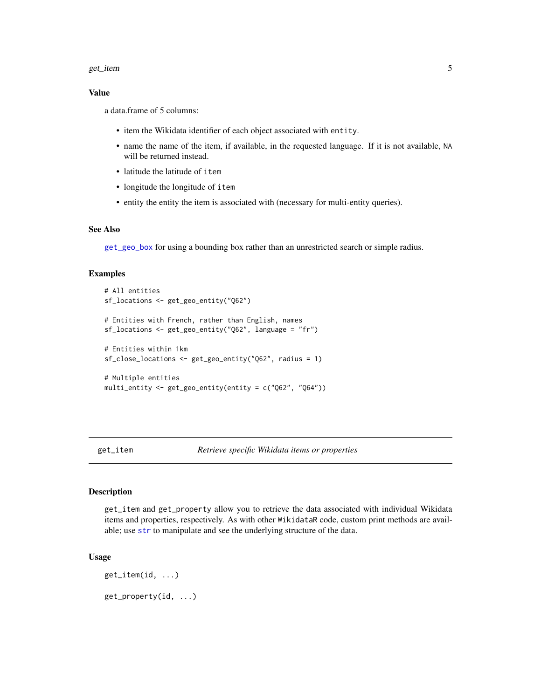#### <span id="page-4-0"></span>get\_item 5

# Value

a data.frame of 5 columns:

- item the Wikidata identifier of each object associated with entity.
- name the name of the item, if available, in the requested language. If it is not available, NA will be returned instead.
- latitude the latitude of item
- longitude the longitude of item
- entity the entity the item is associated with (necessary for multi-entity queries).

# See Also

[get\\_geo\\_box](#page-2-1) for using a bounding box rather than an unrestricted search or simple radius.

#### Examples

```
# All entities
sf_locations <- get_geo_entity("Q62")
# Entities with French, rather than English, names
sf_locations <- get_geo_entity("Q62", language = "fr")
# Entities within 1km
sf_close_locations <- get_geo_entity("Q62", radius = 1)
# Multiple entities
multi_entity <- get_geo_entity(entity = c("Q62", "Q64"))
```
<span id="page-4-1"></span>get\_item *Retrieve specific Wikidata items or properties*

#### Description

get\_item and get\_property allow you to retrieve the data associated with individual Wikidata items and properties, respectively. As with other WikidataR code, custom print methods are available; use [str](#page-0-0) to manipulate and see the underlying structure of the data.

#### Usage

get\_item(id, ...) get\_property(id, ...)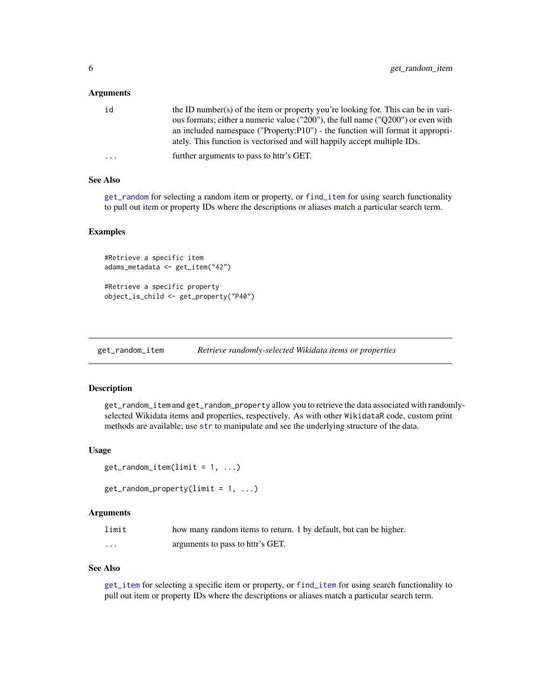#### <span id="page-5-0"></span>**Arguments**

| id | the ID number(s) of the item or property you're looking for. This can be in vari- |
|----|-----------------------------------------------------------------------------------|
|    | ous formats; either a numeric value ("200"), the full name ("Q200") or even with  |
|    | an included namespace ("Property:P10") - the function will format it appropri-    |
|    | ately. This function is vectorised and will happily accept multiple IDs.          |
| .  | further arguments to pass to httr's GET.                                          |

# See Also

[get\\_random](#page-5-1) for selecting a random item or property, or [find\\_item](#page-1-1) for using search functionality to pull out item or property IDs where the descriptions or aliases match a particular search term.

#### Examples

```
#Retrieve a specific item
adams_metadata <- get_item("42")
```

```
#Retrieve a specific property
object_is_child <- get_property("P40")
```
get\_random\_item *Retrieve randomly-selected Wikidata items or properties*

# <span id="page-5-1"></span>Description

get\_random\_item and get\_random\_property allow you to retrieve the data associated with randomlyselected Wikidata items and properties, respectively. As with other WikidataR code, custom print methods are available; use [str](#page-0-0) to manipulate and see the underlying structure of the data.

# Usage

```
get\_random\_item(limit = 1, ...)
```

```
get\_random\_property(limit = 1, ...)
```
#### Arguments

| limit    | how many random items to return. 1 by default, but can be higher. |
|----------|-------------------------------------------------------------------|
| $\cdots$ | arguments to pass to httr's GET.                                  |

#### See Also

[get\\_item](#page-4-1) for selecting a specific item or property, or [find\\_item](#page-1-1) for using search functionality to pull out item or property IDs where the descriptions or aliases match a particular search term.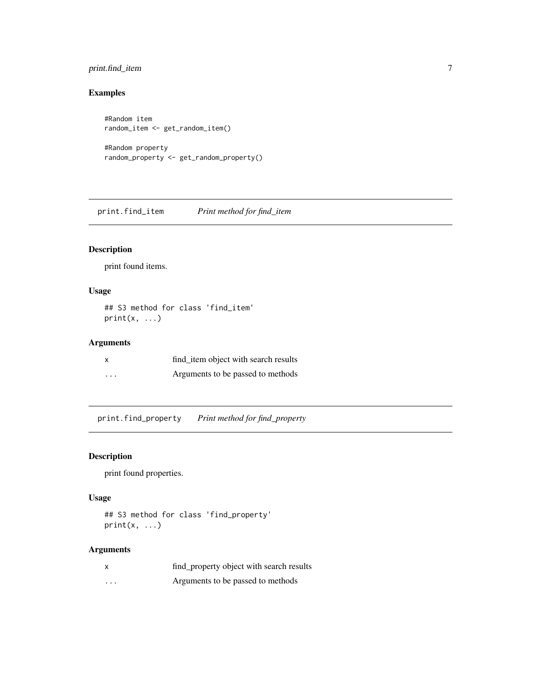# <span id="page-6-0"></span>print.find\_item 7

# Examples

```
#Random item
random_item <- get_random_item()
#Random property
random_property <- get_random_property()
```
print.find\_item *Print method for find\_item*

# Description

print found items.

# Usage

## S3 method for class 'find\_item'  $print(x, \ldots)$ 

# Arguments

|          | find item object with search results |
|----------|--------------------------------------|
| $\cdots$ | Arguments to be passed to methods    |

print.find\_property *Print method for find\_property*

# Description

print found properties.

# Usage

```
## S3 method for class 'find_property'
print(x, ...)
```
# Arguments

| $\boldsymbol{\mathsf{x}}$ | find_property object with search results |
|---------------------------|------------------------------------------|
| $\cdot$                   | Arguments to be passed to methods        |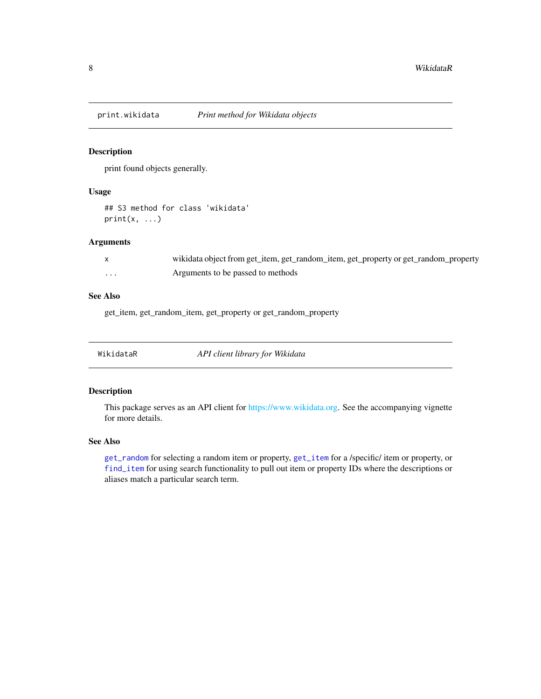<span id="page-7-0"></span>

# Description

print found objects generally.

# Usage

## S3 method for class 'wikidata'  $print(x, \ldots)$ 

# Arguments

|   | wikidata object from get_item, get_random_item, get_property or get_random_property |
|---|-------------------------------------------------------------------------------------|
| . | Arguments to be passed to methods                                                   |

# See Also

get\_item, get\_random\_item, get\_property or get\_random\_property

| WikidataR | API client library for Wikidata |
|-----------|---------------------------------|
|-----------|---------------------------------|

### Description

This package serves as an API client for [https://www.wikidata.org.](#page-0-0) See the accompanying vignette for more details.

# See Also

[get\\_random](#page-5-1) for selecting a random item or property, [get\\_item](#page-4-1) for a /specific/ item or property, or [find\\_item](#page-1-1) for using search functionality to pull out item or property IDs where the descriptions or aliases match a particular search term.